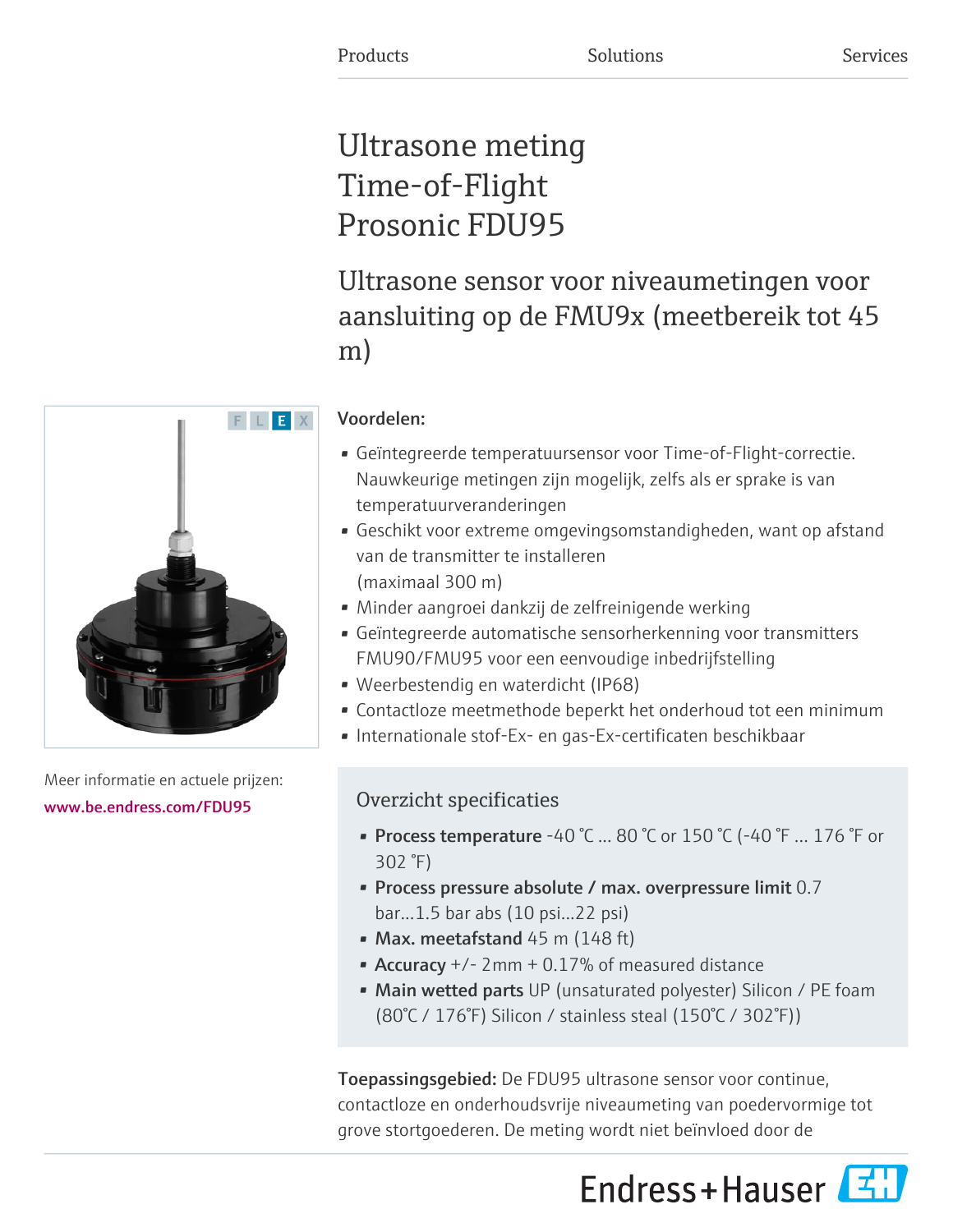# Ultrasone meting Time-of-Flight Prosonic FDU95

Ultrasone sensor voor niveaumetingen voor aansluiting op de FMU9x (meetbereik tot 45 m)

## Voordelen:

- Geïntegreerde temperatuursensor voor Time-of-Flight-correctie. Nauwkeurige metingen zijn mogelijk, zelfs als er sprake is van temperatuurveranderingen
- Geschikt voor extreme omgevingsomstandigheden, want op afstand van de transmitter te installeren (maximaal 300 m)
- Minder aangroei dankzij de zelfreinigende werking
- Geïntegreerde automatische sensorherkenning voor transmitters FMU90/FMU95 voor een eenvoudige inbedrijfstelling
- Weerbestendig en waterdicht (IP68)
- Contactloze meetmethode beperkt het onderhoud tot een minimum
- Internationale stof-Ex- en gas-Ex-certificaten beschikbaar

## Overzicht specificaties

- Process temperature -40 °C ... 80 °C or 150 °C (-40 °F ... 176 °F or 302 °F)
- Process pressure absolute / max. overpressure limit 0.7 bar...1.5 bar abs (10 psi...22 psi)
- Max. meetafstand  $45$  m ( $148$  ft)
- Accuracy  $+/- 2$ mm  $+ 0.17\%$  of measured distance
- Main wetted parts UP (unsaturated polyester) Silicon / PE foam (80°C / 176°F) Silicon / stainless steal (150°C / 302°F))

Toepassingsgebied: De FDU95 ultrasone sensor voor continue, contactloze en onderhoudsvrije niveaumeting van poedervormige tot grove stortgoederen. De meting wordt niet beïnvloed door de



Meer informatie en actuele prijzen: [www.be.endress.com/FDU95](https://www.be.endress.com/FDU95)

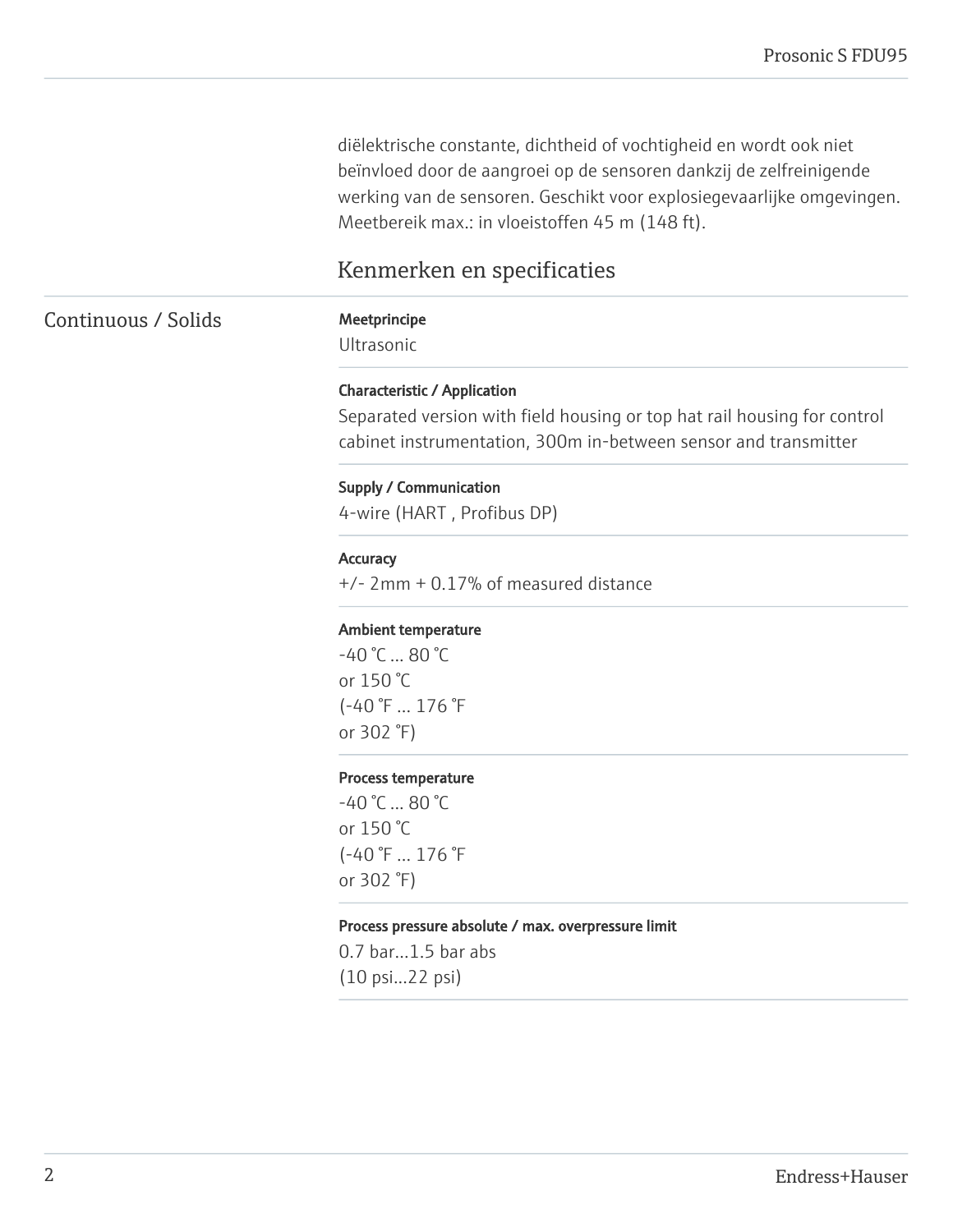diëlektrische constante, dichtheid of vochtigheid en wordt ook niet beïnvloed door de aangroei op de sensoren dankzij de zelfreinigende werking van de sensoren. Geschikt voor explosiegevaarlijke omgevingen. Meetbereik max.: in vloeistoffen 45 m (148 ft).

## Kenmerken en specificaties

## Continuous / Solids Meetprincipe

Ultrasonic

#### Characteristic / Application

Separated version with field housing or top hat rail housing for control cabinet instrumentation, 300m in-between sensor and transmitter

#### Supply / Communication

4-wire (HART , Profibus DP)

#### **Accuracy**

+/- 2mm + 0.17% of measured distance

#### Ambient temperature

 $-40$  °C  $... 80$  °C or 150 °C (-40 °F ... 176 °F or 302 °F)

#### Process temperature

-40 °C ... 80 °C or 150 °C (-40 °F ... 176 °F or 302 °F)

#### Process pressure absolute / max. overpressure limit

0.7 bar...1.5 bar abs (10 psi...22 psi)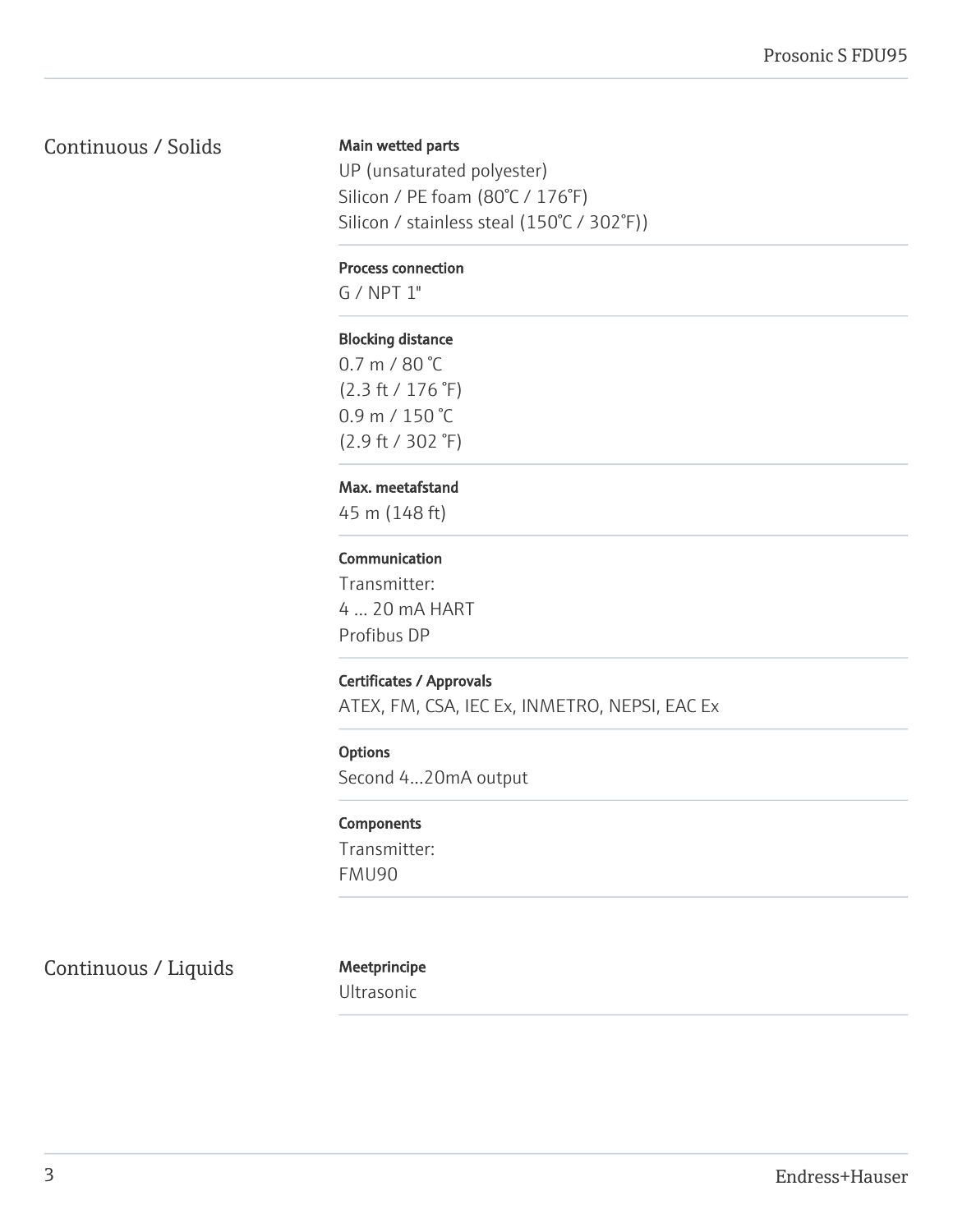## Continuous / Solids

### Main wetted parts

UP (unsaturated polyester) Silicon / PE foam (80°C / 176°F) Silicon / stainless steal (150°C / 302°F))

#### Process connection

G / NPT 1"

#### Blocking distance

0.7 m / 80 °C (2.3 ft / 176 °F) 0.9 m / 150 °C (2.9 ft / 302 °F)

#### Max. meetafstand

45 m (148 ft)

#### Communication

Transmitter: 4 ... 20 mA HART Profibus DP

### Certificates / Approvals

ATEX, FM, CSA, IEC Ex, INMETRO, NEPSI, EAC Ex

#### **Options**

Second 4...20mA output

#### **Components**

Transmitter: FMU90

Continuous / Liquids Meetprincipe

Ultrasonic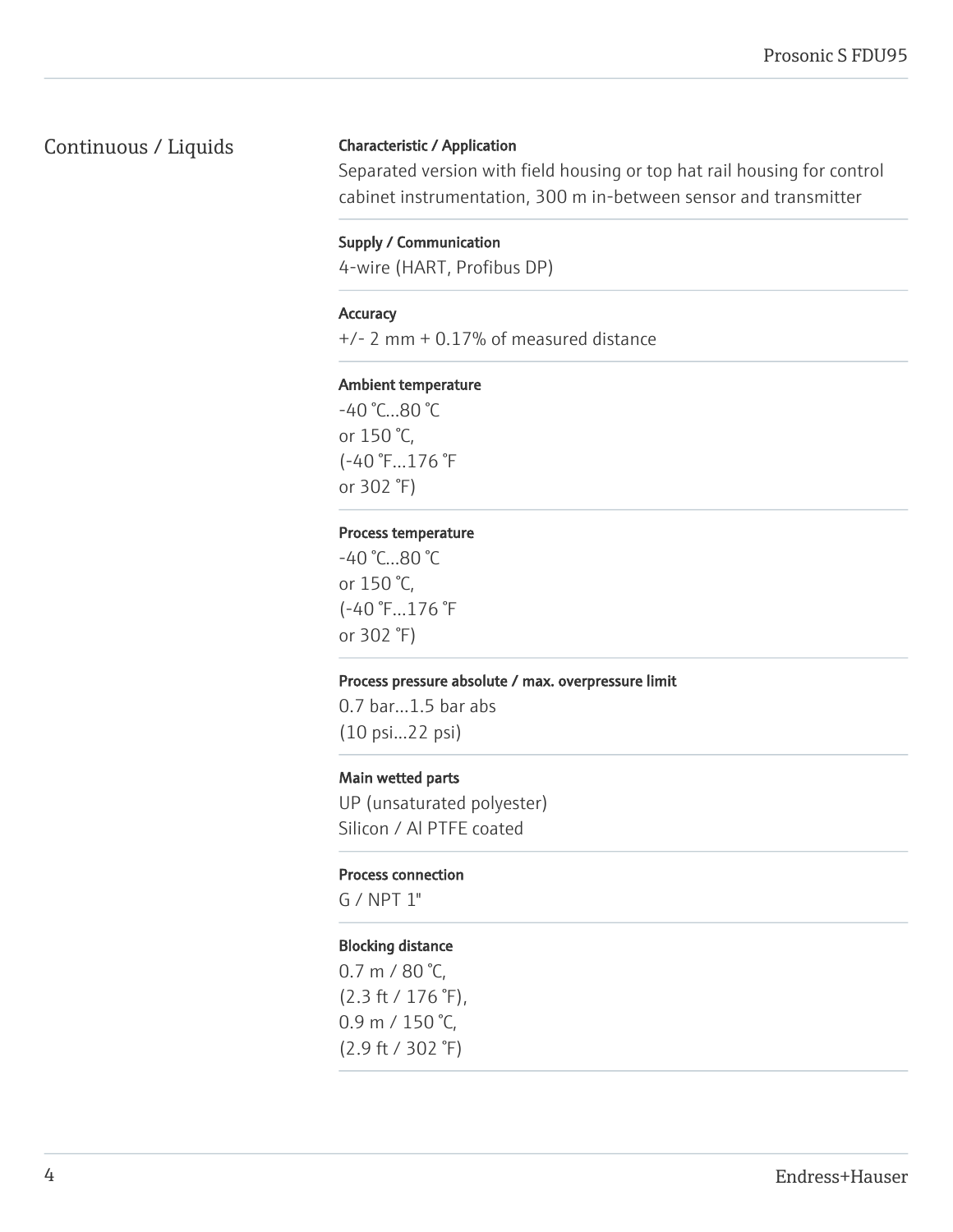## Continuous / Liquids

### Characteristic / Application

Separated version with field housing or top hat rail housing for control cabinet instrumentation, 300 m in-between sensor and transmitter

#### Supply / Communication

4-wire (HART, Profibus DP)

#### **Accuracy**

+/- 2 mm + 0.17% of measured distance

#### Ambient temperature

-40 °C...80 °C or 150 °C, (-40 °F...176 °F or 302 °F)

#### Process temperature

-40 °C...80 °C or 150 °C, (-40 °F...176 °F or 302 °F)

#### Process pressure absolute / max. overpressure limit

0.7 bar...1.5 bar abs (10 psi...22 psi)

#### Main wetted parts

UP (unsaturated polyester) Silicon / Al PTFE coated

#### Process connection

G / NPT 1"

#### Blocking distance

0.7 m / 80 °C, (2.3 ft / 176 °F), 0.9 m / 150 °C, (2.9 ft / 302 °F)